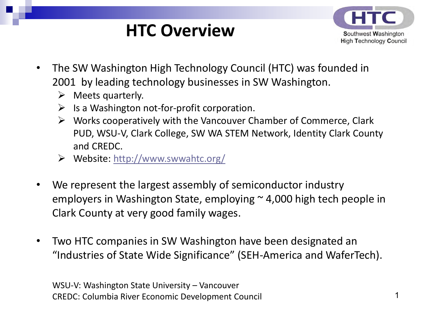# **HTC Overview**



- The SW Washington High Technology Council (HTC) was founded in 2001 by leading technology businesses in SW Washington.
	- $\triangleright$  Meets quarterly.
	- $\triangleright$  Is a Washington not-for-profit corporation.
	- $\triangleright$  Works cooperatively with the Vancouver Chamber of Commerce, Clark PUD, WSU-V, Clark College, SW WA STEM Network, Identity Clark County and CREDC.
	- Website: <http://www.swwahtc.org/>
- We represent the largest assembly of semiconductor industry employers in Washington State, employing  $\sim$  4,000 high tech people in Clark County at very good family wages.
- Two HTC companies in SW Washington have been designated an "Industries of State Wide Significance" (SEH-America and WaferTech).

WSU-V: Washington State University – Vancouver CREDC: Columbia River Economic Development Council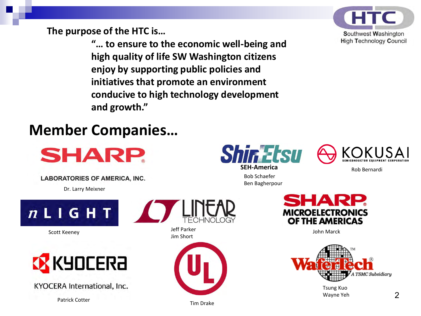**The purpose of the HTC is…** 

**"… to ensure to the economic well-being and high quality of life SW Washington citizens enjoy by supporting public policies and initiatives that promote an environment conducive to high technology development and growth."**



### **Member Companies…**

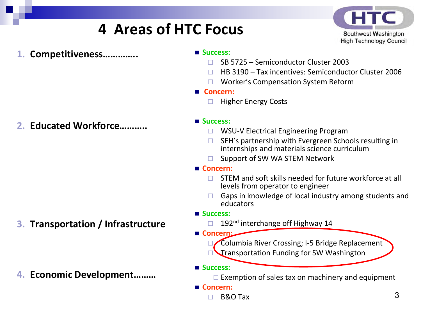## **4 Areas of HTC Focus**



**1. Competitiveness…………..**

**2. Educated Workforce………..**

**3. Transportation / Infrastructure** 

**4. Economic Development………**

- **Success:**
	- SB 5725 Semiconductor Cluster 2003
	- HB 3190 Tax incentives: Semiconductor Cluster 2006
	- □ Worker's Compensation System Reform
- **Concern:** 
	- $\Box$  Higher Energy Costs

### **Success:**

- □ WSU-V Electrical Engineering Program
- SEH's partnership with Evergreen Schools resulting in internships and materials science curriculum
- $\Box$  Support of SW WA STEM Network
- **Concern:** 
	- $\Box$  STEM and soft skills needed for future workforce at all levels from operator to engineer
	- $\Box$  Gaps in knowledge of local industry among students and educators
- **Success:** 
	- $\Box$  192<sup>nd</sup> interchange off Highway 14
- **Concern:** 
	- Columbia River Crossing; I-5 Bridge Replacement
	- Transportation Funding for SW Washington

### **Success:**

 $\Box$  Exemption of sales tax on machinery and equipment

- **Concern:** 
	- B&O Tax